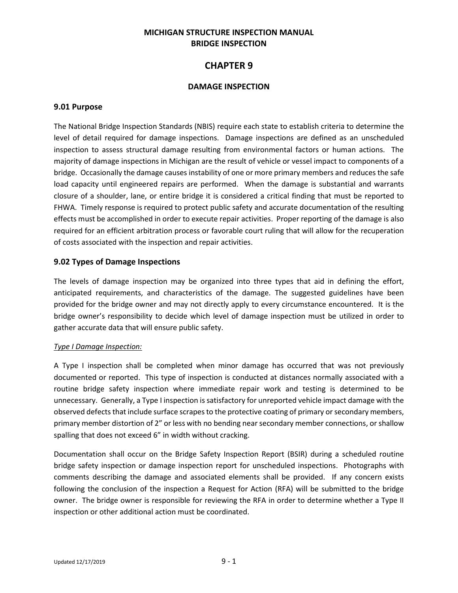## **MICHIGAN STRUCTURE INSPECTION MANUAL BRIDGE INSPECTION**

# **CHAPTER 9**

### **DAMAGE INSPECTION**

#### **9.01 Purpose**

The National Bridge Inspection Standards (NBIS) require each state to establish criteria to determine the level of detail required for damage inspections. Damage inspections are defined as an unscheduled inspection to assess structural damage resulting from environmental factors or human actions. The majority of damage inspections in Michigan are the result of vehicle or vessel impact to components of a bridge. Occasionally the damage causes instability of one or more primary members and reduces the safe load capacity until engineered repairs are performed. When the damage is substantial and warrants closure of a shoulder, lane, or entire bridge it is considered a critical finding that must be reported to FHWA. Timely response is required to protect public safety and accurate documentation of the resulting effects must be accomplished in order to execute repair activities. Proper reporting of the damage is also required for an efficient arbitration process or favorable court ruling that will allow for the recuperation of costs associated with the inspection and repair activities.

#### **9.02 Types of Damage Inspections**

The levels of damage inspection may be organized into three types that aid in defining the effort, anticipated requirements, and characteristics of the damage. The suggested guidelines have been provided for the bridge owner and may not directly apply to every circumstance encountered. It is the bridge owner's responsibility to decide which level of damage inspection must be utilized in order to gather accurate data that will ensure public safety.

#### *Type I Damage Inspection:*

A Type I inspection shall be completed when minor damage has occurred that was not previously documented or reported. This type of inspection is conducted at distances normally associated with a routine bridge safety inspection where immediate repair work and testing is determined to be unnecessary. Generally, a Type I inspection is satisfactory for unreported vehicle impact damage with the observed defects that include surface scrapes to the protective coating of primary or secondary members, primary member distortion of 2" or less with no bending near secondary member connections, or shallow spalling that does not exceed 6" in width without cracking.

Documentation shall occur on the Bridge Safety Inspection Report (BSIR) during a scheduled routine bridge safety inspection or damage inspection report for unscheduled inspections. Photographs with comments describing the damage and associated elements shall be provided. If any concern exists following the conclusion of the inspection a Request for Action (RFA) will be submitted to the bridge owner. The bridge owner is responsible for reviewing the RFA in order to determine whether a Type II inspection or other additional action must be coordinated.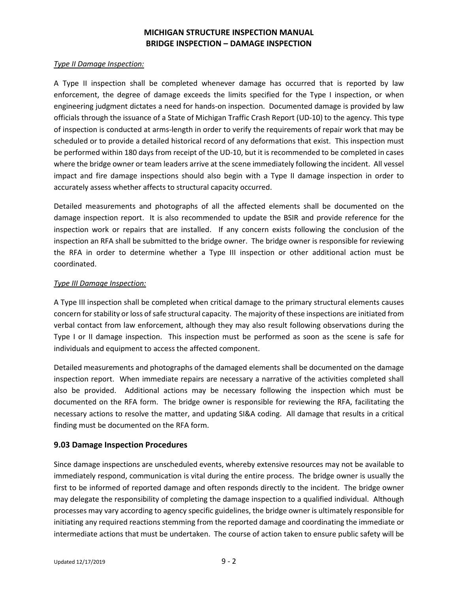#### *Type II Damage Inspection:*

A Type II inspection shall be completed whenever damage has occurred that is reported by law enforcement, the degree of damage exceeds the limits specified for the Type I inspection, or when engineering judgment dictates a need for hands-on inspection. Documented damage is provided by law officials through the issuance of a State of Michigan Traffic Crash Report (UD-10) to the agency. This type of inspection is conducted at arms-length in order to verify the requirements of repair work that may be scheduled or to provide a detailed historical record of any deformations that exist. This inspection must be performed within 180 days from receipt of the UD-10, but it is recommended to be completed in cases where the bridge owner or team leaders arrive at the scene immediately following the incident. All vessel impact and fire damage inspections should also begin with a Type II damage inspection in order to accurately assess whether affects to structural capacity occurred.

Detailed measurements and photographs of all the affected elements shall be documented on the damage inspection report. It is also recommended to update the BSIR and provide reference for the inspection work or repairs that are installed. If any concern exists following the conclusion of the inspection an RFA shall be submitted to the bridge owner. The bridge owner is responsible for reviewing the RFA in order to determine whether a Type III inspection or other additional action must be coordinated.

#### *Type III Damage Inspection:*

A Type III inspection shall be completed when critical damage to the primary structural elements causes concern for stability or loss of safe structural capacity. The majority of these inspections are initiated from verbal contact from law enforcement, although they may also result following observations during the Type I or II damage inspection. This inspection must be performed as soon as the scene is safe for individuals and equipment to access the affected component.

Detailed measurements and photographs of the damaged elements shall be documented on the damage inspection report. When immediate repairs are necessary a narrative of the activities completed shall also be provided. Additional actions may be necessary following the inspection which must be documented on the RFA form. The bridge owner is responsible for reviewing the RFA, facilitating the necessary actions to resolve the matter, and updating SI&A coding. All damage that results in a critical finding must be documented on the RFA form.

### **9.03 Damage Inspection Procedures**

Since damage inspections are unscheduled events, whereby extensive resources may not be available to immediately respond, communication is vital during the entire process. The bridge owner is usually the first to be informed of reported damage and often responds directly to the incident. The bridge owner may delegate the responsibility of completing the damage inspection to a qualified individual. Although processes may vary according to agency specific guidelines, the bridge owner is ultimately responsible for initiating any required reactions stemming from the reported damage and coordinating the immediate or intermediate actions that must be undertaken. The course of action taken to ensure public safety will be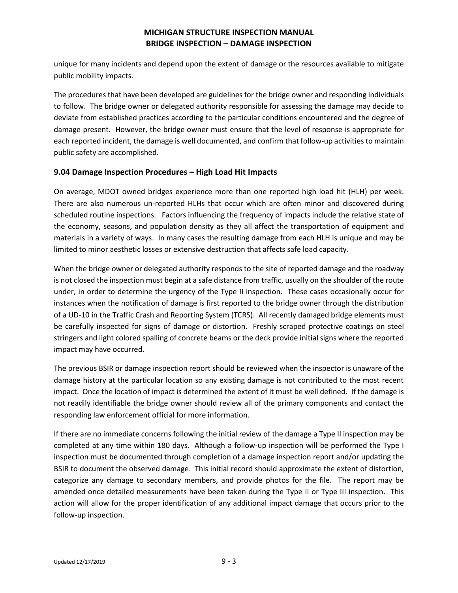unique for many incidents and depend upon the extent of damage or the resources available to mitigate public mobility impacts.

The procedures that have been developed are guidelines for the bridge owner and responding individuals to follow. The bridge owner or delegated authority responsible for assessing the damage may decide to deviate from established practices according to the particular conditions encountered and the degree of damage present. However, the bridge owner must ensure that the level of response is appropriate for each reported incident, the damage is well documented, and confirm that follow-up activities to maintain public safety are accomplished.

### **9.04 Damage Inspection Procedures – High Load Hit Impacts**

On average, MDOT owned bridges experience more than one reported high load hit (HLH) per week. There are also numerous un-reported HLHs that occur which are often minor and discovered during scheduled routine inspections. Factors influencing the frequency of impacts include the relative state of the economy, seasons, and population density as they all affect the transportation of equipment and materials in a variety of ways. In many cases the resulting damage from each HLH is unique and may be limited to minor aesthetic losses or extensive destruction that affects safe load capacity.

When the bridge owner or delegated authority responds to the site of reported damage and the roadway is not closed the inspection must begin at a safe distance from traffic, usually on the shoulder of the route under, in order to determine the urgency of the Type II inspection. These cases occasionally occur for instances when the notification of damage is first reported to the bridge owner through the distribution of a UD-10 in the Traffic Crash and Reporting System (TCRS). All recently damaged bridge elements must be carefully inspected for signs of damage or distortion. Freshly scraped protective coatings on steel stringers and light colored spalling of concrete beams or the deck provide initial signs where the reported impact may have occurred.

The previous BSIR or damage inspection report should be reviewed when the inspector is unaware of the damage history at the particular location so any existing damage is not contributed to the most recent impact. Once the location of impact is determined the extent of it must be well defined. If the damage is not readily identifiable the bridge owner should review all of the primary components and contact the responding law enforcement official for more information.

If there are no immediate concerns following the initial review of the damage a Type II inspection may be completed at any time within 180 days. Although a follow-up inspection will be performed the Type I inspection must be documented through completion of a damage inspection report and/or updating the BSIR to document the observed damage. This initial record should approximate the extent of distortion, categorize any damage to secondary members, and provide photos for the file. The report may be amended once detailed measurements have been taken during the Type II or Type III inspection. This action will allow for the proper identification of any additional impact damage that occurs prior to the follow-up inspection.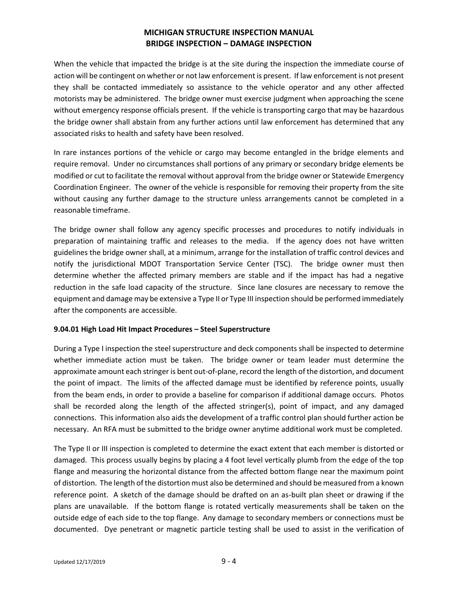When the vehicle that impacted the bridge is at the site during the inspection the immediate course of action will be contingent on whether or not law enforcement is present. If law enforcement is not present they shall be contacted immediately so assistance to the vehicle operator and any other affected motorists may be administered. The bridge owner must exercise judgment when approaching the scene without emergency response officials present. If the vehicle is transporting cargo that may be hazardous the bridge owner shall abstain from any further actions until law enforcement has determined that any associated risks to health and safety have been resolved.

In rare instances portions of the vehicle or cargo may become entangled in the bridge elements and require removal. Under no circumstances shall portions of any primary or secondary bridge elements be modified or cut to facilitate the removal without approval from the bridge owner or Statewide Emergency Coordination Engineer. The owner of the vehicle is responsible for removing their property from the site without causing any further damage to the structure unless arrangements cannot be completed in a reasonable timeframe.

The bridge owner shall follow any agency specific processes and procedures to notify individuals in preparation of maintaining traffic and releases to the media. If the agency does not have written guidelines the bridge owner shall, at a minimum, arrange for the installation of traffic control devices and notify the jurisdictional MDOT Transportation Service Center (TSC). The bridge owner must then determine whether the affected primary members are stable and if the impact has had a negative reduction in the safe load capacity of the structure. Since lane closures are necessary to remove the equipment and damage may be extensive a Type II or Type III inspection should be performed immediately after the components are accessible.

#### **9.04.01 High Load Hit Impact Procedures – Steel Superstructure**

During a Type I inspection the steel superstructure and deck components shall be inspected to determine whether immediate action must be taken. The bridge owner or team leader must determine the approximate amount each stringer is bent out-of-plane, record the length of the distortion, and document the point of impact. The limits of the affected damage must be identified by reference points, usually from the beam ends, in order to provide a baseline for comparison if additional damage occurs. Photos shall be recorded along the length of the affected stringer(s), point of impact, and any damaged connections. This information also aids the development of a traffic control plan should further action be necessary. An RFA must be submitted to the bridge owner anytime additional work must be completed.

The Type II or III inspection is completed to determine the exact extent that each member is distorted or damaged. This process usually begins by placing a 4 foot level vertically plumb from the edge of the top flange and measuring the horizontal distance from the affected bottom flange near the maximum point of distortion. The length of the distortion must also be determined and should be measured from a known reference point. A sketch of the damage should be drafted on an as-built plan sheet or drawing if the plans are unavailable. If the bottom flange is rotated vertically measurements shall be taken on the outside edge of each side to the top flange. Any damage to secondary members or connections must be documented. Dye penetrant or magnetic particle testing shall be used to assist in the verification of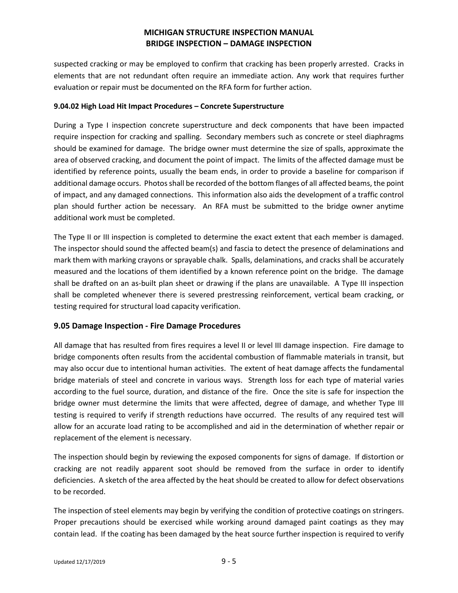suspected cracking or may be employed to confirm that cracking has been properly arrested. Cracks in elements that are not redundant often require an immediate action. Any work that requires further evaluation or repair must be documented on the RFA form for further action.

#### **9.04.02 High Load Hit Impact Procedures – Concrete Superstructure**

During a Type I inspection concrete superstructure and deck components that have been impacted require inspection for cracking and spalling. Secondary members such as concrete or steel diaphragms should be examined for damage. The bridge owner must determine the size of spalls, approximate the area of observed cracking, and document the point of impact. The limits of the affected damage must be identified by reference points, usually the beam ends, in order to provide a baseline for comparison if additional damage occurs. Photos shall be recorded of the bottom flanges of all affected beams, the point of impact, and any damaged connections. This information also aids the development of a traffic control plan should further action be necessary. An RFA must be submitted to the bridge owner anytime additional work must be completed.

The Type II or III inspection is completed to determine the exact extent that each member is damaged. The inspector should sound the affected beam(s) and fascia to detect the presence of delaminations and mark them with marking crayons or sprayable chalk. Spalls, delaminations, and cracks shall be accurately measured and the locations of them identified by a known reference point on the bridge. The damage shall be drafted on an as-built plan sheet or drawing if the plans are unavailable. A Type III inspection shall be completed whenever there is severed prestressing reinforcement, vertical beam cracking, or testing required for structural load capacity verification.

### **9.05 Damage Inspection - Fire Damage Procedures**

All damage that has resulted from fires requires a level II or level III damage inspection. Fire damage to bridge components often results from the accidental combustion of flammable materials in transit, but may also occur due to intentional human activities. The extent of heat damage affects the fundamental bridge materials of steel and concrete in various ways. Strength loss for each type of material varies according to the fuel source, duration, and distance of the fire. Once the site is safe for inspection the bridge owner must determine the limits that were affected, degree of damage, and whether Type III testing is required to verify if strength reductions have occurred. The results of any required test will allow for an accurate load rating to be accomplished and aid in the determination of whether repair or replacement of the element is necessary.

The inspection should begin by reviewing the exposed components for signs of damage. If distortion or cracking are not readily apparent soot should be removed from the surface in order to identify deficiencies. A sketch of the area affected by the heat should be created to allow for defect observations to be recorded.

The inspection of steel elements may begin by verifying the condition of protective coatings on stringers. Proper precautions should be exercised while working around damaged paint coatings as they may contain lead. If the coating has been damaged by the heat source further inspection is required to verify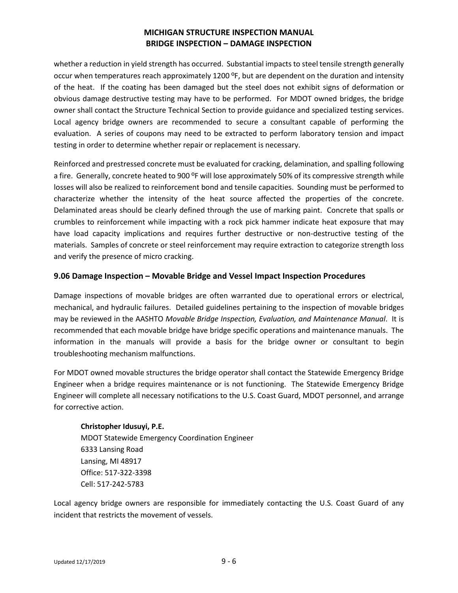whether a reduction in yield strength has occurred. Substantial impacts to steel tensile strength generally occur when temperatures reach approximately 1200 ºF, but are dependent on the duration and intensity of the heat. If the coating has been damaged but the steel does not exhibit signs of deformation or obvious damage destructive testing may have to be performed. For MDOT owned bridges, the bridge owner shall contact the Structure Technical Section to provide guidance and specialized testing services. Local agency bridge owners are recommended to secure a consultant capable of performing the evaluation. A series of coupons may need to be extracted to perform laboratory tension and impact testing in order to determine whether repair or replacement is necessary.

Reinforced and prestressed concrete must be evaluated for cracking, delamination, and spalling following a fire. Generally, concrete heated to 900 <sup>o</sup>F will lose approximately 50% of its compressive strength while losses will also be realized to reinforcement bond and tensile capacities. Sounding must be performed to characterize whether the intensity of the heat source affected the properties of the concrete. Delaminated areas should be clearly defined through the use of marking paint. Concrete that spalls or crumbles to reinforcement while impacting with a rock pick hammer indicate heat exposure that may have load capacity implications and requires further destructive or non-destructive testing of the materials. Samples of concrete or steel reinforcement may require extraction to categorize strength loss and verify the presence of micro cracking.

### **9.06 Damage Inspection – Movable Bridge and Vessel Impact Inspection Procedures**

Damage inspections of movable bridges are often warranted due to operational errors or electrical, mechanical, and hydraulic failures. Detailed guidelines pertaining to the inspection of movable bridges may be reviewed in the AASHTO *Movable Bridge Inspection, Evaluation, and Maintenance Manual*. It is recommended that each movable bridge have bridge specific operations and maintenance manuals. The information in the manuals will provide a basis for the bridge owner or consultant to begin troubleshooting mechanism malfunctions.

For MDOT owned movable structures the bridge operator shall contact the Statewide Emergency Bridge Engineer when a bridge requires maintenance or is not functioning. The Statewide Emergency Bridge Engineer will complete all necessary notifications to the U.S. Coast Guard, MDOT personnel, and arrange for corrective action.

### **Christopher Idusuyi, P.E.**

MDOT Statewide Emergency Coordination Engineer 6333 Lansing Road Lansing, MI 48917 Office: 517-322-3398 Cell: 517-242-5783

Local agency bridge owners are responsible for immediately contacting the U.S. Coast Guard of any incident that restricts the movement of vessels.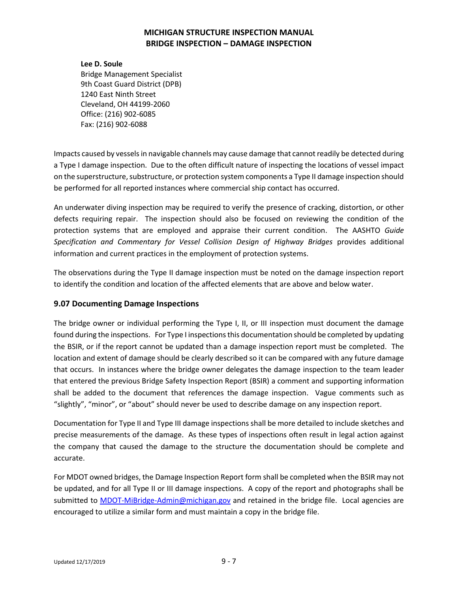#### **Lee D. Soule**

Bridge Management Specialist 9th Coast Guard District (DPB) 1240 East Ninth Street Cleveland, OH 44199-2060 Office: (216) 902-6085 Fax: (216) 902-6088

Impacts caused by vessels in navigable channels may cause damage that cannot readily be detected during a Type I damage inspection. Due to the often difficult nature of inspecting the locations of vessel impact on the superstructure, substructure, or protection system components a Type II damage inspection should be performed for all reported instances where commercial ship contact has occurred.

An underwater diving inspection may be required to verify the presence of cracking, distortion, or other defects requiring repair. The inspection should also be focused on reviewing the condition of the protection systems that are employed and appraise their current condition. The AASHTO *Guide Specification and Commentary for Vessel Collision Design of Highway Bridges* provides additional information and current practices in the employment of protection systems.

The observations during the Type II damage inspection must be noted on the damage inspection report to identify the condition and location of the affected elements that are above and below water.

### **9.07 Documenting Damage Inspections**

The bridge owner or individual performing the Type I, II, or III inspection must document the damage found during the inspections. For Type I inspections this documentation should be completed by updating the BSIR, or if the report cannot be updated than a damage inspection report must be completed. The location and extent of damage should be clearly described so it can be compared with any future damage that occurs. In instances where the bridge owner delegates the damage inspection to the team leader that entered the previous Bridge Safety Inspection Report (BSIR) a comment and supporting information shall be added to the document that references the damage inspection. Vague comments such as "slightly", "minor", or "about" should never be used to describe damage on any inspection report.

Documentation for Type II and Type III damage inspections shall be more detailed to include sketches and precise measurements of the damage. As these types of inspections often result in legal action against the company that caused the damage to the structure the documentation should be complete and accurate.

For MDOT owned bridges, the Damage Inspection Report form shall be completed when the BSIR may not be updated, and for all Type II or III damage inspections. A copy of the report and photographs shall be submitted to [MDOT-MiBridge-Admin@michigan.gov](mailto:MDOT-MiBridge-Admin@michigan.gov) and retained in the bridge file. Local agencies are encouraged to utilize a similar form and must maintain a copy in the bridge file.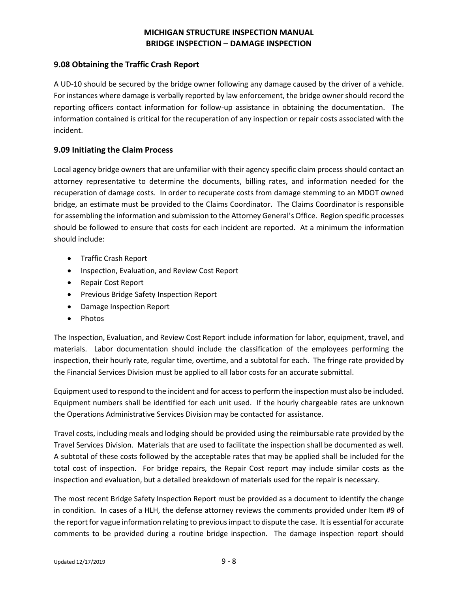### **9.08 Obtaining the Traffic Crash Report**

A UD-10 should be secured by the bridge owner following any damage caused by the driver of a vehicle. For instances where damage is verbally reported by law enforcement, the bridge owner should record the reporting officers contact information for follow-up assistance in obtaining the documentation. The information contained is critical for the recuperation of any inspection or repair costs associated with the incident.

### **9.09 Initiating the Claim Process**

Local agency bridge owners that are unfamiliar with their agency specific claim process should contact an attorney representative to determine the documents, billing rates, and information needed for the recuperation of damage costs. In order to recuperate costs from damage stemming to an MDOT owned bridge, an estimate must be provided to the Claims Coordinator. The Claims Coordinator is responsible for assembling the information and submission to the Attorney General's Office. Region specific processes should be followed to ensure that costs for each incident are reported. At a minimum the information should include:

- Traffic Crash Report
- Inspection, Evaluation, and Review Cost Report
- Repair Cost Report
- Previous Bridge Safety Inspection Report
- Damage Inspection Report
- Photos

The Inspection, Evaluation, and Review Cost Report include information for labor, equipment, travel, and materials. Labor documentation should include the classification of the employees performing the inspection, their hourly rate, regular time, overtime, and a subtotal for each. The fringe rate provided by the Financial Services Division must be applied to all labor costs for an accurate submittal.

Equipment used to respond to the incident and for access to perform the inspection must also be included. Equipment numbers shall be identified for each unit used. If the hourly chargeable rates are unknown the Operations Administrative Services Division may be contacted for assistance.

Travel costs, including meals and lodging should be provided using the reimbursable rate provided by the Travel Services Division. Materials that are used to facilitate the inspection shall be documented as well. A subtotal of these costs followed by the acceptable rates that may be applied shall be included for the total cost of inspection. For bridge repairs, the Repair Cost report may include similar costs as the inspection and evaluation, but a detailed breakdown of materials used for the repair is necessary.

The most recent Bridge Safety Inspection Report must be provided as a document to identify the change in condition. In cases of a HLH, the defense attorney reviews the comments provided under Item #9 of the report for vague information relating to previous impact to dispute the case. It is essential for accurate comments to be provided during a routine bridge inspection. The damage inspection report should